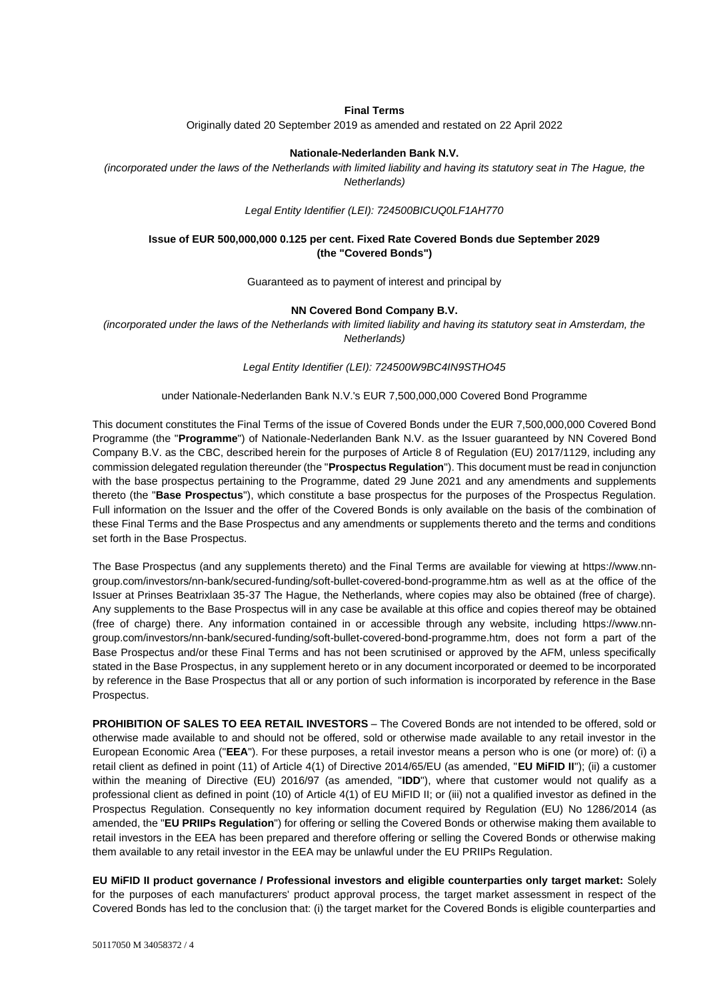## **Final Terms**

Originally dated 20 September 2019 as amended and restated on 22 April 2022

#### **Nationale-Nederlanden Bank N.V.**

*(incorporated under the laws of the Netherlands with limited liability and having its statutory seat in The Hague, the Netherlands)*

*Legal Entity Identifier (LEI): 724500BICUQ0LF1AH770*

## **Issue of EUR 500,000,000 0.125 per cent. Fixed Rate Covered Bonds due September 2029 (the "Covered Bonds")**

Guaranteed as to payment of interest and principal by

#### **NN Covered Bond Company B.V.**

*(incorporated under the laws of the Netherlands with limited liability and having its statutory seat in Amsterdam, the Netherlands)*

*Legal Entity Identifier (LEI): 724500W9BC4IN9STHO45*

#### under Nationale-Nederlanden Bank N.V.'s EUR 7,500,000,000 Covered Bond Programme

This document constitutes the Final Terms of the issue of Covered Bonds under the EUR 7,500,000,000 Covered Bond Programme (the "**Programme**") of Nationale-Nederlanden Bank N.V. as the Issuer guaranteed by NN Covered Bond Company B.V. as the CBC, described herein for the purposes of Article 8 of Regulation (EU) 2017/1129, including any commission delegated regulation thereunder (the "**Prospectus Regulation**"). This document must be read in conjunction with the base prospectus pertaining to the Programme, dated 29 June 2021 and any amendments and supplements thereto (the "**Base Prospectus**"), which constitute a base prospectus for the purposes of the Prospectus Regulation. Full information on the Issuer and the offer of the Covered Bonds is only available on the basis of the combination of these Final Terms and the Base Prospectus and any amendments or supplements thereto and the terms and conditions set forth in the Base Prospectus.

The Base Prospectus (and any supplements thereto) and the Final Terms are available for viewing at [https://www.nn](https://www.nn-group.com/investors/nn-bank/secured-funding/soft-bullet-covered-bond-programme.htm)[group.com/investors/nn-bank/secured-funding/soft-bullet-covered-bond-programme.htm](https://www.nn-group.com/investors/nn-bank/secured-funding/soft-bullet-covered-bond-programme.htm) as well as at the office of the Issuer at Prinses Beatrixlaan 35-37 The Hague, the Netherlands, where copies may also be obtained (free of charge). Any supplements to the Base Prospectus will in any case be available at this office and copies thereof may be obtained (free of charge) there. Any information contained in or accessible through any website, including [https://www.nn](https://www.nn-group.com/investors/nn-bank/secured-funding/soft-bullet-covered-bond-programme.htm)[group.com/investors/nn-bank/secured-funding/soft-bullet-covered-bond-programme.htm,](https://www.nn-group.com/investors/nn-bank/secured-funding/soft-bullet-covered-bond-programme.htm) does not form a part of the Base Prospectus and/or these Final Terms and has not been scrutinised or approved by the AFM, unless specifically stated in the Base Prospectus, in any supplement hereto or in any document incorporated or deemed to be incorporated by reference in the Base Prospectus that all or any portion of such information is incorporated by reference in the Base Prospectus.

**PROHIBITION OF SALES TO EEA RETAIL INVESTORS** – The Covered Bonds are not intended to be offered, sold or otherwise made available to and should not be offered, sold or otherwise made available to any retail investor in the European Economic Area ("**EEA**"). For these purposes, a retail investor means a person who is one (or more) of: (i) a retail client as defined in point (11) of Article 4(1) of Directive 2014/65/EU (as amended, "**EU MiFID II**"); (ii) a customer within the meaning of Directive (EU) 2016/97 (as amended, "**IDD**"), where that customer would not qualify as a professional client as defined in point (10) of Article 4(1) of EU MiFID II; or (iii) not a qualified investor as defined in the Prospectus Regulation. Consequently no key information document required by Regulation (EU) No 1286/2014 (as amended, the "**EU PRIIPs Regulation**") for offering or selling the Covered Bonds or otherwise making them available to retail investors in the EEA has been prepared and therefore offering or selling the Covered Bonds or otherwise making them available to any retail investor in the EEA may be unlawful under the EU PRIIPs Regulation.

**EU MiFID II product governance / Professional investors and eligible counterparties only target market:** Solely for the purposes of each manufacturers' product approval process, the target market assessment in respect of the Covered Bonds has led to the conclusion that: (i) the target market for the Covered Bonds is eligible counterparties and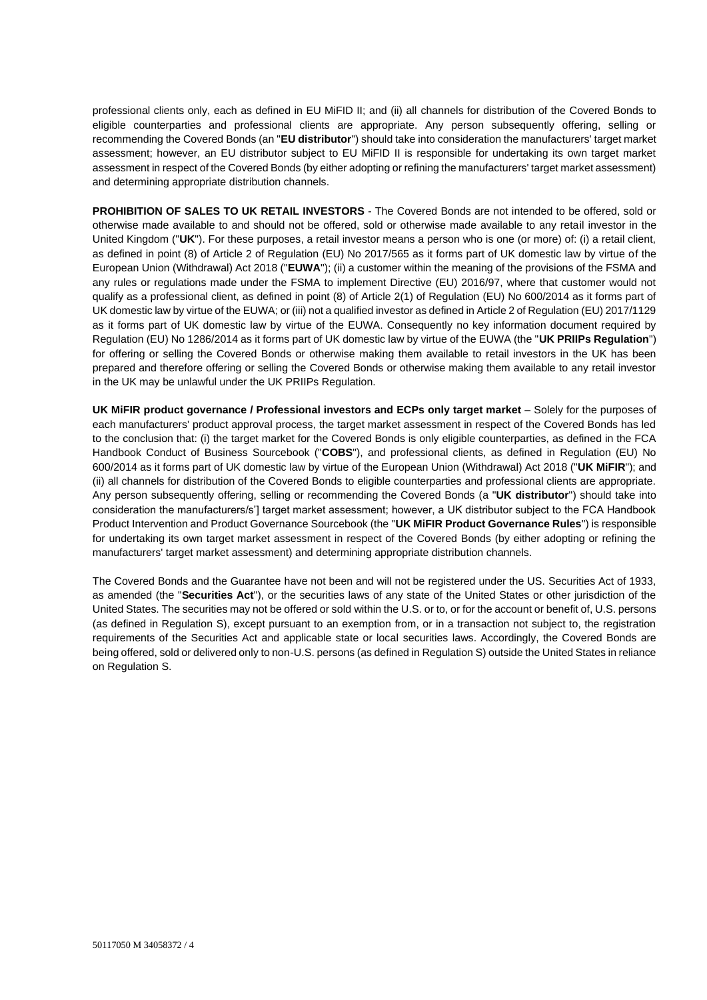professional clients only, each as defined in EU MiFID II; and (ii) all channels for distribution of the Covered Bonds to eligible counterparties and professional clients are appropriate. Any person subsequently offering, selling or recommending the Covered Bonds (an "**EU distributor**") should take into consideration the manufacturers' target market assessment; however, an EU distributor subject to EU MiFID II is responsible for undertaking its own target market assessment in respect of the Covered Bonds (by either adopting or refining the manufacturers' target market assessment) and determining appropriate distribution channels.

**PROHIBITION OF SALES TO UK RETAIL INVESTORS** - The Covered Bonds are not intended to be offered, sold or otherwise made available to and should not be offered, sold or otherwise made available to any retail investor in the United Kingdom ("**UK**"). For these purposes, a retail investor means a person who is one (or more) of: (i) a retail client, as defined in point (8) of Article 2 of Regulation (EU) No 2017/565 as it forms part of UK domestic law by virtue of the European Union (Withdrawal) Act 2018 ("**EUWA**"); (ii) a customer within the meaning of the provisions of the FSMA and any rules or regulations made under the FSMA to implement Directive (EU) 2016/97, where that customer would not qualify as a professional client, as defined in point (8) of Article 2(1) of Regulation (EU) No 600/2014 as it forms part of UK domestic law by virtue of the EUWA; or (iii) not a qualified investor as defined in Article 2 of Regulation (EU) 2017/1129 as it forms part of UK domestic law by virtue of the EUWA. Consequently no key information document required by Regulation (EU) No 1286/2014 as it forms part of UK domestic law by virtue of the EUWA (the "**UK PRIIPs Regulation**") for offering or selling the Covered Bonds or otherwise making them available to retail investors in the UK has been prepared and therefore offering or selling the Covered Bonds or otherwise making them available to any retail investor in the UK may be unlawful under the UK PRIIPs Regulation.

**UK MiFIR product governance / Professional investors and ECPs only target market** – Solely for the purposes of each manufacturers' product approval process, the target market assessment in respect of the Covered Bonds has led to the conclusion that: (i) the target market for the Covered Bonds is only eligible counterparties, as defined in the FCA Handbook Conduct of Business Sourcebook ("**COBS**"), and professional clients, as defined in Regulation (EU) No 600/2014 as it forms part of UK domestic law by virtue of the European Union (Withdrawal) Act 2018 ("**UK MiFIR**"); and (ii) all channels for distribution of the Covered Bonds to eligible counterparties and professional clients are appropriate. Any person subsequently offering, selling or recommending the Covered Bonds (a "**UK distributor**") should take into consideration the manufacturers/s'] target market assessment; however, a UK distributor subject to the FCA Handbook Product Intervention and Product Governance Sourcebook (the "**UK MiFIR Product Governance Rules**") is responsible for undertaking its own target market assessment in respect of the Covered Bonds (by either adopting or refining the manufacturers' target market assessment) and determining appropriate distribution channels.

The Covered Bonds and the Guarantee have not been and will not be registered under the US. Securities Act of 1933, as amended (the "**Securities Act**"), or the securities laws of any state of the United States or other jurisdiction of the United States. The securities may not be offered or sold within the U.S. or to, or for the account or benefit of, U.S. persons (as defined in Regulation S), except pursuant to an exemption from, or in a transaction not subject to, the registration requirements of the Securities Act and applicable state or local securities laws. Accordingly, the Covered Bonds are being offered, sold or delivered only to non-U.S. persons (as defined in Regulation S) outside the United States in reliance on Regulation S.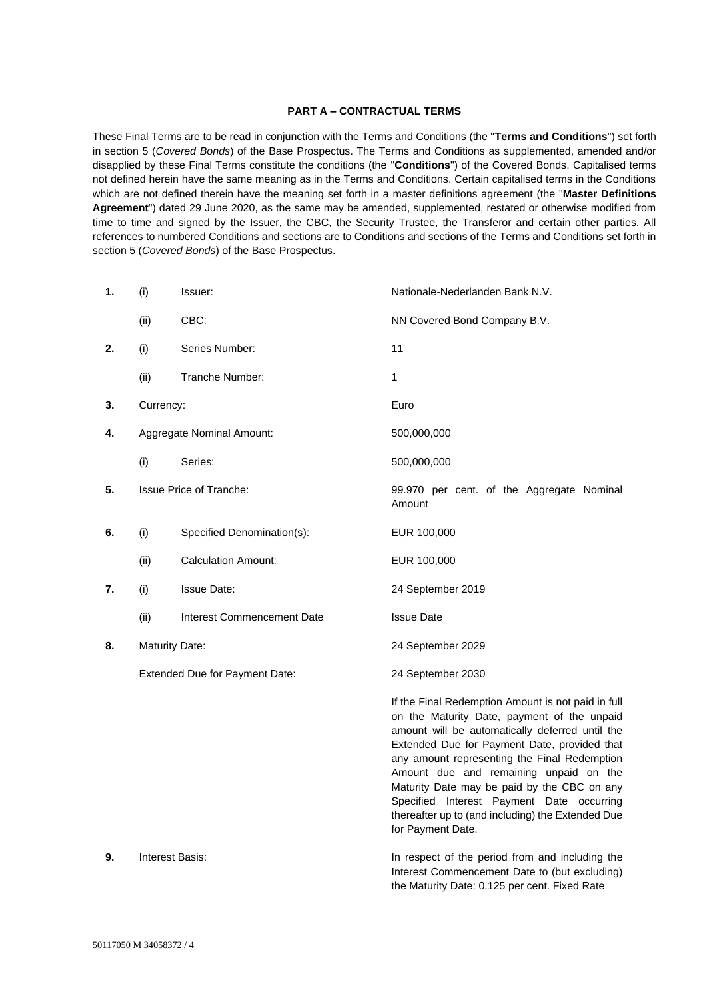## **PART A – CONTRACTUAL TERMS**

These Final Terms are to be read in conjunction with the Terms and Conditions (the "**Terms and Conditions**") set forth in section 5 (*Covered Bonds*) of the Base Prospectus. The Terms and Conditions as supplemented, amended and/or disapplied by these Final Terms constitute the conditions (the "**Conditions**") of the Covered Bonds. Capitalised terms not defined herein have the same meaning as in the Terms and Conditions. Certain capitalised terms in the Conditions which are not defined therein have the meaning set forth in a master definitions agreement (the "**Master Definitions Agreement**") dated 29 June 2020, as the same may be amended, supplemented, restated or otherwise modified from time to time and signed by the Issuer, the CBC, the Security Trustee, the Transferor and certain other parties. All references to numbered Conditions and sections are to Conditions and sections of the Terms and Conditions set forth in section 5 (*Covered Bonds*) of the Base Prospectus.

| 1. | (i)                            | Issuer:                        | Nationale-Nederlanden Bank N.V.                                                                                                                                                                                                                                                                                                                                                                                                                                      |
|----|--------------------------------|--------------------------------|----------------------------------------------------------------------------------------------------------------------------------------------------------------------------------------------------------------------------------------------------------------------------------------------------------------------------------------------------------------------------------------------------------------------------------------------------------------------|
|    | (ii)                           | CBC:                           | NN Covered Bond Company B.V.                                                                                                                                                                                                                                                                                                                                                                                                                                         |
| 2. | (i)                            | Series Number:                 | 11                                                                                                                                                                                                                                                                                                                                                                                                                                                                   |
|    | (ii)                           | Tranche Number:                | 1                                                                                                                                                                                                                                                                                                                                                                                                                                                                    |
| 3. | Currency:                      |                                | Euro                                                                                                                                                                                                                                                                                                                                                                                                                                                                 |
| 4. | Aggregate Nominal Amount:      |                                | 500,000,000                                                                                                                                                                                                                                                                                                                                                                                                                                                          |
|    | (i)                            | Series:                        | 500,000,000                                                                                                                                                                                                                                                                                                                                                                                                                                                          |
| 5. |                                | <b>Issue Price of Tranche:</b> | 99.970 per cent. of the Aggregate Nominal<br>Amount                                                                                                                                                                                                                                                                                                                                                                                                                  |
| 6. | (i)                            | Specified Denomination(s):     | EUR 100,000                                                                                                                                                                                                                                                                                                                                                                                                                                                          |
|    | (ii)                           | <b>Calculation Amount:</b>     | EUR 100,000                                                                                                                                                                                                                                                                                                                                                                                                                                                          |
| 7. | (i)                            | <b>Issue Date:</b>             | 24 September 2019                                                                                                                                                                                                                                                                                                                                                                                                                                                    |
|    | (ii)                           | Interest Commencement Date     | <b>Issue Date</b>                                                                                                                                                                                                                                                                                                                                                                                                                                                    |
| 8. | <b>Maturity Date:</b>          |                                | 24 September 2029                                                                                                                                                                                                                                                                                                                                                                                                                                                    |
|    | Extended Due for Payment Date: |                                | 24 September 2030                                                                                                                                                                                                                                                                                                                                                                                                                                                    |
|    |                                |                                | If the Final Redemption Amount is not paid in full<br>on the Maturity Date, payment of the unpaid<br>amount will be automatically deferred until the<br>Extended Due for Payment Date, provided that<br>any amount representing the Final Redemption<br>Amount due and remaining unpaid on the<br>Maturity Date may be paid by the CBC on any<br>Specified Interest Payment Date occurring<br>thereafter up to (and including) the Extended Due<br>for Payment Date. |
| 9. | Interest Basis:                |                                | In respect of the period from and including the<br>Interest Commencement Date to (but excluding)                                                                                                                                                                                                                                                                                                                                                                     |

the Maturity Date: 0.125 per cent. Fixed Rate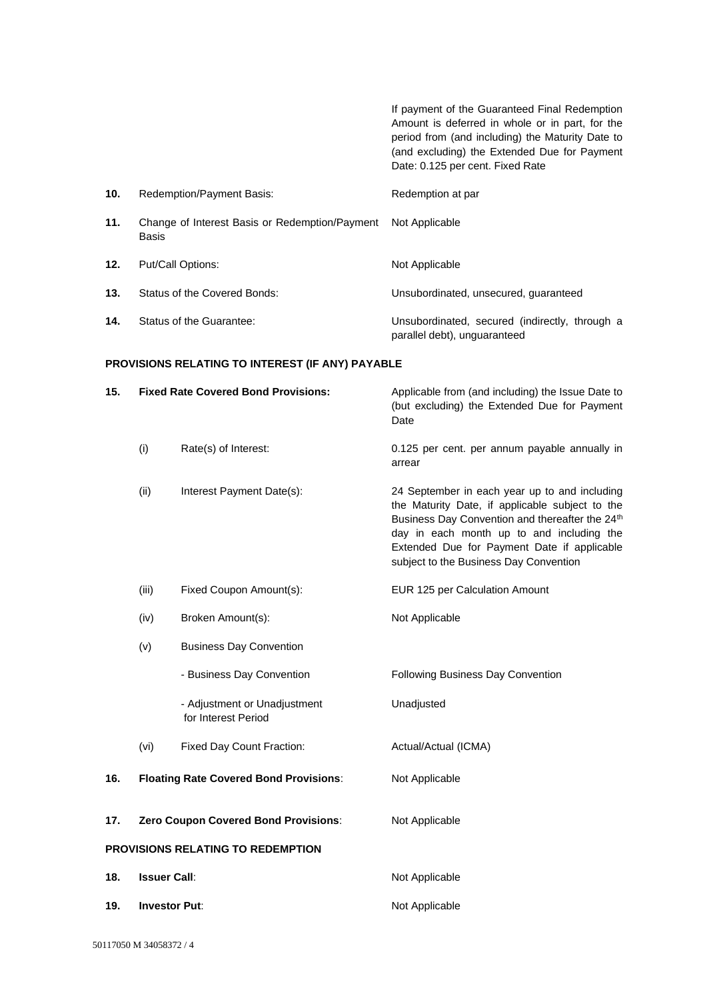If payment of the Guaranteed Final Redemption Amount is deferred in whole or in part, for the period from (and including) the Maturity Date to (and excluding) the Extended Due for Payment Date: 0.125 per cent. Fixed Rate **10.** Redemption/Payment Basis: Redemption at par **11.** Change of Interest Basis or Redemption/Payment Basis Not Applicable 12. Put/Call Options: Not Applicable **13.** Status of the Covered Bonds: Unsubordinated, unsecured, guaranteed **14.** Status of the Guarantee: Unsubordinated, secured (indirectly, through a parallel debt), unguaranteed

### **PROVISIONS RELATING TO INTEREST (IF ANY) PAYABLE**

| 15. | <b>Fixed Rate Covered Bond Provisions:</b> |                                                     | Applicable from (and including) the Issue Date to<br>(but excluding) the Extended Due for Payment<br>Date                                                                                                                                                                                 |
|-----|--------------------------------------------|-----------------------------------------------------|-------------------------------------------------------------------------------------------------------------------------------------------------------------------------------------------------------------------------------------------------------------------------------------------|
|     | (i)                                        | Rate(s) of Interest:                                | 0.125 per cent. per annum payable annually in<br>arrear                                                                                                                                                                                                                                   |
|     | (ii)                                       | Interest Payment Date(s):                           | 24 September in each year up to and including<br>the Maturity Date, if applicable subject to the<br>Business Day Convention and thereafter the 24th<br>day in each month up to and including the<br>Extended Due for Payment Date if applicable<br>subject to the Business Day Convention |
|     | (iii)                                      | Fixed Coupon Amount(s):                             | EUR 125 per Calculation Amount                                                                                                                                                                                                                                                            |
|     | (iv)                                       | Broken Amount(s):                                   | Not Applicable                                                                                                                                                                                                                                                                            |
|     | (v)                                        | <b>Business Day Convention</b>                      |                                                                                                                                                                                                                                                                                           |
|     |                                            | - Business Day Convention                           | Following Business Day Convention                                                                                                                                                                                                                                                         |
|     |                                            | - Adjustment or Unadjustment<br>for Interest Period | Unadjusted                                                                                                                                                                                                                                                                                |
|     | (vi)                                       | Fixed Day Count Fraction:                           | Actual/Actual (ICMA)                                                                                                                                                                                                                                                                      |
| 16. |                                            | <b>Floating Rate Covered Bond Provisions:</b>       | Not Applicable                                                                                                                                                                                                                                                                            |
| 17. |                                            | Zero Coupon Covered Bond Provisions:                | Not Applicable                                                                                                                                                                                                                                                                            |
|     |                                            | PROVISIONS RELATING TO REDEMPTION                   |                                                                                                                                                                                                                                                                                           |
| 18. | <b>Issuer Call:</b>                        |                                                     | Not Applicable                                                                                                                                                                                                                                                                            |
| 19. | <b>Investor Put:</b>                       |                                                     | Not Applicable                                                                                                                                                                                                                                                                            |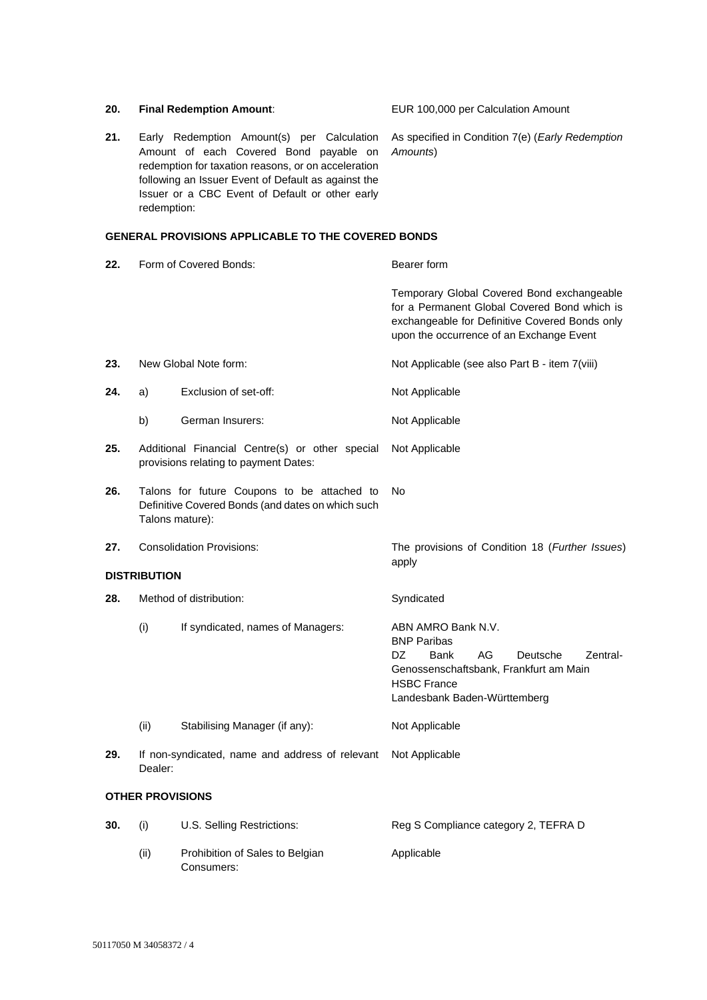| 20.                     |                                  | <b>Final Redemption Amount:</b>                                                                                                                                                                                                                       | EUR 100,000 per Calculation Amount                                                                                                                                                       |
|-------------------------|----------------------------------|-------------------------------------------------------------------------------------------------------------------------------------------------------------------------------------------------------------------------------------------------------|------------------------------------------------------------------------------------------------------------------------------------------------------------------------------------------|
| 21.                     | redemption:                      | Early Redemption Amount(s) per Calculation<br>Amount of each Covered Bond payable on<br>redemption for taxation reasons, or on acceleration<br>following an Issuer Event of Default as against the<br>Issuer or a CBC Event of Default or other early | As specified in Condition 7(e) (Early Redemption<br>Amounts)                                                                                                                             |
|                         |                                  | <b>GENERAL PROVISIONS APPLICABLE TO THE COVERED BONDS</b>                                                                                                                                                                                             |                                                                                                                                                                                          |
| 22.                     |                                  | Form of Covered Bonds:                                                                                                                                                                                                                                | Bearer form                                                                                                                                                                              |
|                         |                                  |                                                                                                                                                                                                                                                       | Temporary Global Covered Bond exchangeable<br>for a Permanent Global Covered Bond which is<br>exchangeable for Definitive Covered Bonds only<br>upon the occurrence of an Exchange Event |
| 23.                     |                                  | New Global Note form:                                                                                                                                                                                                                                 | Not Applicable (see also Part B - item 7(viii)                                                                                                                                           |
| 24.                     | a)                               | Exclusion of set-off:                                                                                                                                                                                                                                 | Not Applicable                                                                                                                                                                           |
|                         | b)                               | German Insurers:                                                                                                                                                                                                                                      | Not Applicable                                                                                                                                                                           |
| 25.                     |                                  | Additional Financial Centre(s) or other special<br>provisions relating to payment Dates:                                                                                                                                                              | Not Applicable                                                                                                                                                                           |
| 26.                     | Talons mature):                  | Talons for future Coupons to be attached to<br>Definitive Covered Bonds (and dates on which such                                                                                                                                                      | No                                                                                                                                                                                       |
| 27.                     | <b>Consolidation Provisions:</b> |                                                                                                                                                                                                                                                       | The provisions of Condition 18 (Further Issues)<br>apply                                                                                                                                 |
|                         | <b>DISTRIBUTION</b>              |                                                                                                                                                                                                                                                       |                                                                                                                                                                                          |
| 28.                     | Method of distribution:          |                                                                                                                                                                                                                                                       | Syndicated                                                                                                                                                                               |
|                         | (i)                              | If syndicated, names of Managers:                                                                                                                                                                                                                     | ABN AMRO Bank N.V.<br><b>BNP Paribas</b><br>DZ.<br>AG<br>Bank<br>Deutsche<br>Zentral-<br>Genossenschaftsbank, Frankfurt am Main<br><b>HSBC France</b><br>Landesbank Baden-Württemberg    |
|                         | (ii)                             | Stabilising Manager (if any):                                                                                                                                                                                                                         | Not Applicable                                                                                                                                                                           |
| 29.                     | Dealer:                          | If non-syndicated, name and address of relevant                                                                                                                                                                                                       | Not Applicable                                                                                                                                                                           |
| <b>OTHER PROVISIONS</b> |                                  |                                                                                                                                                                                                                                                       |                                                                                                                                                                                          |
| 30.                     | (i)                              | U.S. Selling Restrictions:                                                                                                                                                                                                                            | Reg S Compliance category 2, TEFRA D                                                                                                                                                     |
|                         | (ii)                             | Prohibition of Sales to Belgian<br>Consumers:                                                                                                                                                                                                         | Applicable                                                                                                                                                                               |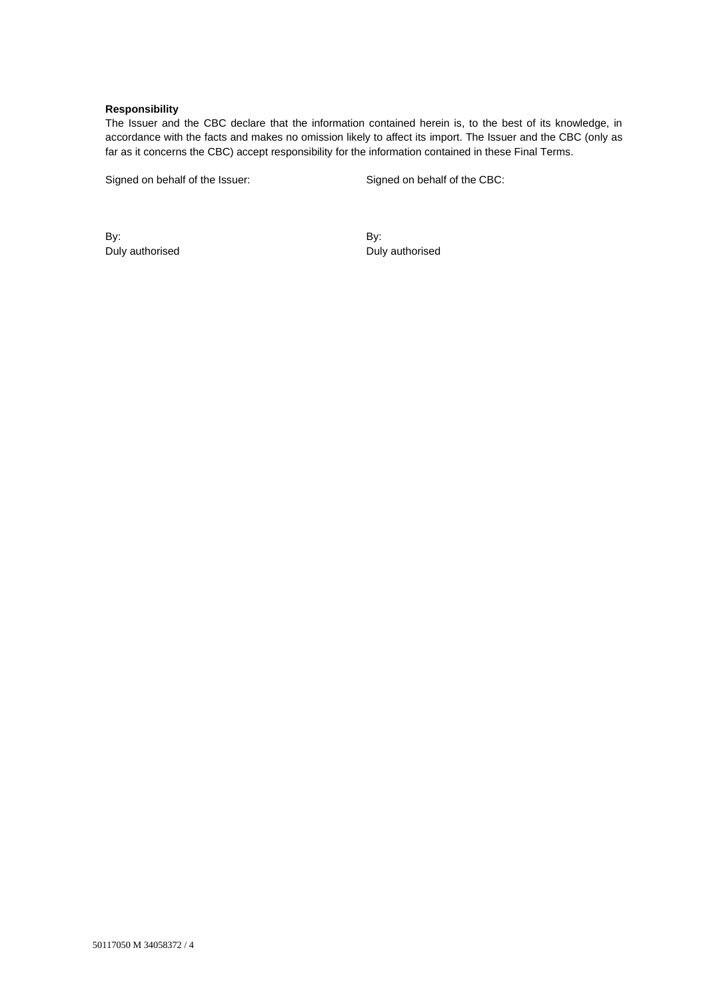### **Responsibility**

The Issuer and the CBC declare that the information contained herein is, to the best of its knowledge, in accordance with the facts and makes no omission likely to affect its import. The Issuer and the CBC (only as far as it concerns the CBC) accept responsibility for the information contained in these Final Terms.

Signed on behalf of the Issuer: Signed on behalf of the CBC:

By: Duly authorised By: Duly authorised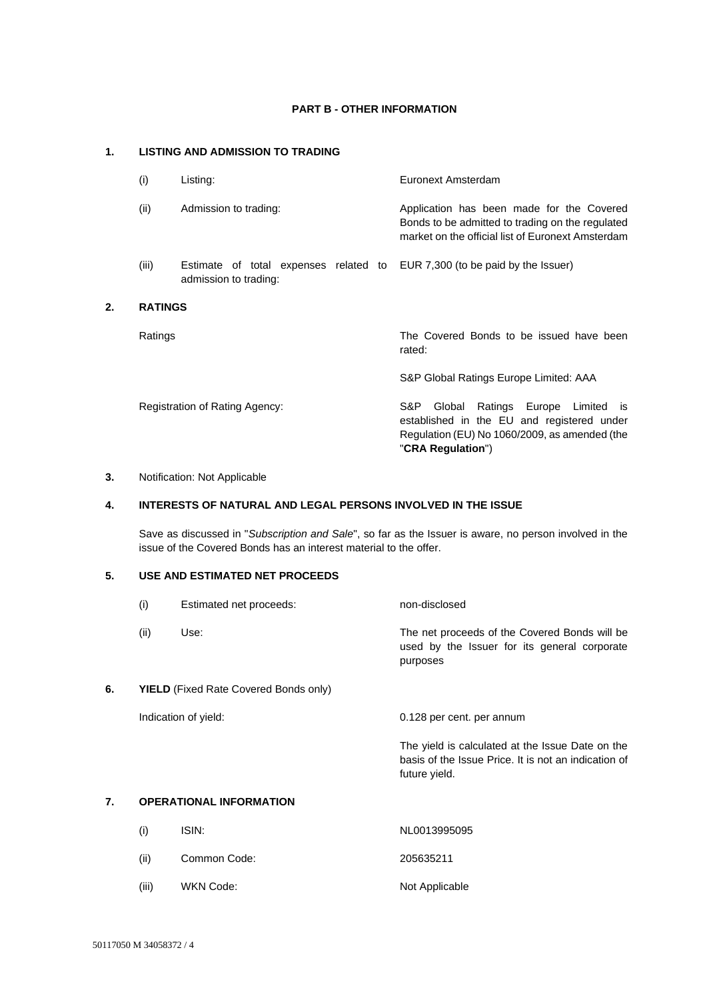## **PART B - OTHER INFORMATION**

# **1. LISTING AND ADMISSION TO TRADING**

| (i)            | Listing:                                                       | Euronext Amsterdam                                                                                                                                                        |
|----------------|----------------------------------------------------------------|---------------------------------------------------------------------------------------------------------------------------------------------------------------------------|
| (ii)           | Admission to trading:                                          | Application has been made for the Covered<br>Bonds to be admitted to trading on the regulated<br>market on the official list of Euronext Amsterdam                        |
| (iii)          | Estimate of total expenses related to<br>admission to trading: | EUR 7,300 (to be paid by the Issuer)                                                                                                                                      |
| <b>RATINGS</b> |                                                                |                                                                                                                                                                           |
| Ratings        |                                                                | The Covered Bonds to be issued have been<br>rated:                                                                                                                        |
|                |                                                                | S&P Global Ratings Europe Limited: AAA                                                                                                                                    |
|                | Registration of Rating Agency:                                 | S&P.<br>Ratings Europe Limited<br>Global<br><b>IS</b><br>established in the EU and registered under<br>Regulation (EU) No 1060/2009, as amended (the<br>"CRA Regulation") |

## **3.** Notification: Not Applicable

**2. RATINGS**

# **4. INTERESTS OF NATURAL AND LEGAL PERSONS INVOLVED IN THE ISSUE**

Save as discussed in "*Subscription and Sale*", so far as the Issuer is aware, no person involved in the issue of the Covered Bonds has an interest material to the offer.

# **5. USE AND ESTIMATED NET PROCEEDS**

|    | (i)                                          | Estimated net proceeds: | non-disclosed                                                                                                             |
|----|----------------------------------------------|-------------------------|---------------------------------------------------------------------------------------------------------------------------|
|    | (ii)                                         | Use:                    | The net proceeds of the Covered Bonds will be<br>used by the Issuer for its general corporate<br>purposes                 |
| 6. | <b>YIELD</b> (Fixed Rate Covered Bonds only) |                         |                                                                                                                           |
|    |                                              | Indication of yield:    | 0.128 per cent. per annum                                                                                                 |
|    |                                              |                         | The yield is calculated at the Issue Date on the<br>basis of the Issue Price. It is not an indication of<br>future yield. |
| 7. | <b>OPERATIONAL INFORMATION</b>               |                         |                                                                                                                           |
|    | (i)                                          | ISIN:                   | NL0013995095                                                                                                              |

(ii) Common Code: 205635211 (iii) WKN Code: Not Applicable